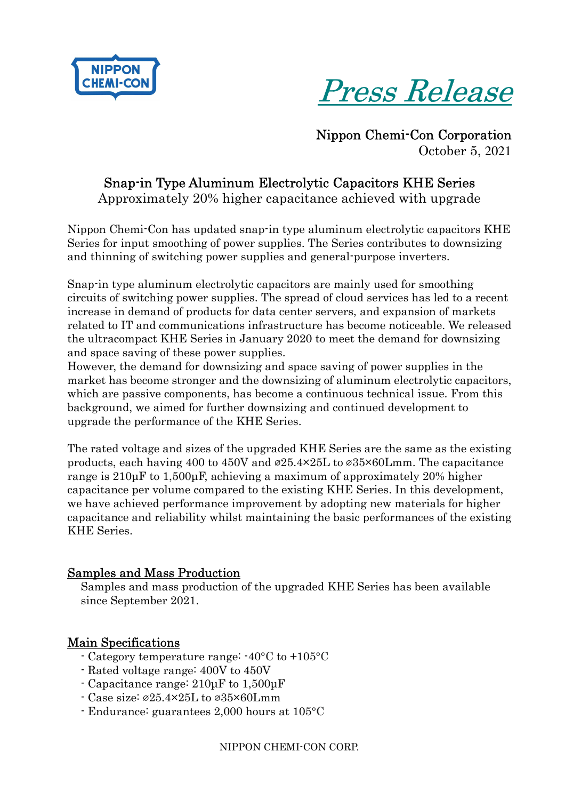



 Nippon Chemi-Con Corporation October 5, 2021

### Snap-in Type Aluminum Electrolytic Capacitors KHE Series Approximately 20% higher capacitance achieved with upgrade

Nippon Chemi-Con has updated snap-in type aluminum electrolytic capacitors KHE Series for input smoothing of power supplies. The Series contributes to downsizing and thinning of switching power supplies and general-purpose inverters.

Snap-in type aluminum electrolytic capacitors are mainly used for smoothing circuits of switching power supplies. The spread of cloud services has led to a recent increase in demand of products for data center servers, and expansion of markets related to IT and communications infrastructure has become noticeable. We released the ultracompact KHE Series in January 2020 to meet the demand for downsizing and space saving of these power supplies.

However, the demand for downsizing and space saving of power supplies in the market has become stronger and the downsizing of aluminum electrolytic capacitors, which are passive components, has become a continuous technical issue. From this background, we aimed for further downsizing and continued development to upgrade the performance of the KHE Series.

The rated voltage and sizes of the upgraded KHE Series are the same as the existing products, each having 400 to 450V and  $\infty$ 25.4×25L to  $\infty$ 35×60Lmm. The capacitance range is 210µF to 1,500µF, achieving a maximum of approximately 20% higher capacitance per volume compared to the existing KHE Series. In this development, we have achieved performance improvement by adopting new materials for higher capacitance and reliability whilst maintaining the basic performances of the existing KHE Series.

#### Samples and Mass Production

Samples and mass production of the upgraded KHE Series has been available since September 2021.

#### Main Specifications

- Category temperature range: -40°C to +105°C
- Rated voltage range: 400V to 450V
- Capacitance range: 210µF to 1,500µF
- Case size: ⌀25.4×25L to ⌀35×60Lmm
- Endurance: guarantees 2,000 hours at 105°C